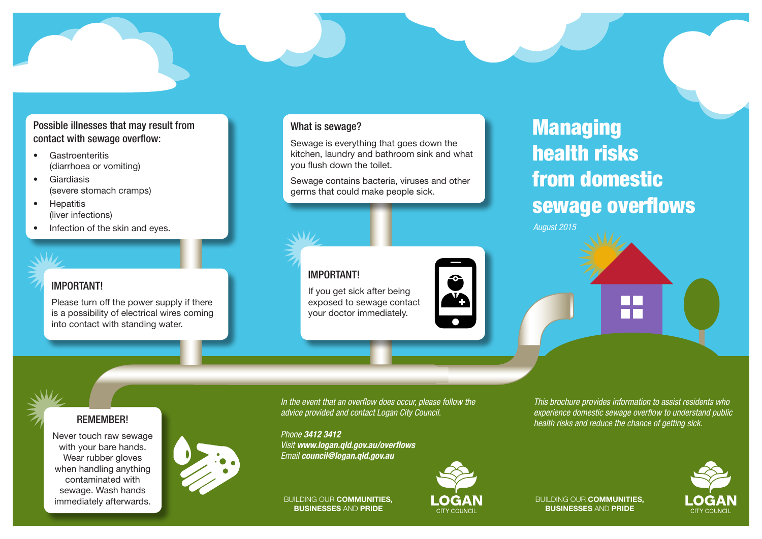## Possible illnesses that may result from contact with sewage overflow:

- Gastroenteritis (diarrhoea or vomiting)
- Giardiasis (severe stomach cramps)
- Hepatitis (liver infections)
- Infection of the skin and eyes.

### IMPORTANT!

Please turn off the power supply if there is a possibility of electrical wires coming into contact with standing water.

### What is sewage?

Sewage is everything that goes down the kitchen, laundry and bathroom sink and what you flush down the toilet.

Sewage contains bacteria, viruses and other germs that could make people sick.

# IMPORTANT!

If you get sick after being exposed to sewage contact your doctor immediately.



# Managing health risks from domestic sewage overflows

*August 2015*

#### REMEMBER!

Never touch raw sewage with your bare hands. Wear rubber gloves when handling anything contaminated with sewage. Wash hands immediately afterwards.



*In the event that an overfow does occur, please follow the advice provided and contact Logan City Council.* 

*Phone 3412 3412 Visit www.logan.qld.gov.au/overflows Email council@logan.qld.gov.au* 

BUILDING OUR COMMUNITIES, BUSINESSES AND PRIDE



*health risks and reduce the chance of getting sick.* 

*This brochure provides information to assist residents who experience domestic sewage overfow to understand public*